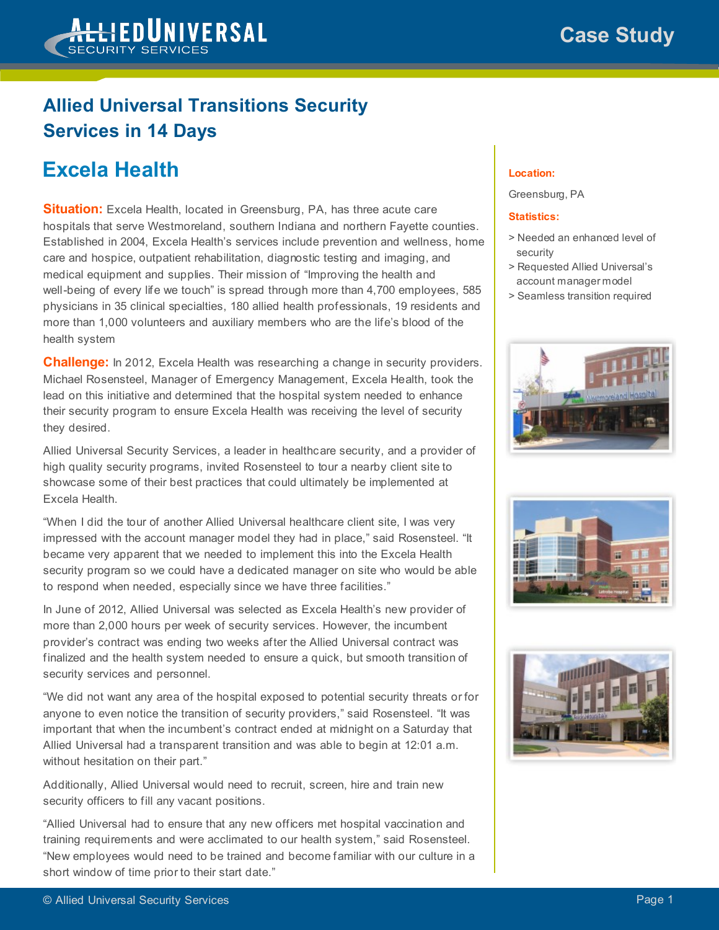

## **Allied Universal Transitions Security Services in 14 Days**

## **Excela Health**

**Situation:** Excela Health, located in Greensburg, PA, has three acute care hospitals that serve Westmoreland, southern Indiana and northern Fayette counties. Established in 2004, Excela Health's services include prevention and wellness, home care and hospice, outpatient rehabilitation, diagnostic testing and imaging, and medical equipment and supplies. Their mission of "Improving the health and well-being of every life we touch" is spread through more than 4,700 employees, 585 physicians in 35 clinical specialties, 180 allied health professionals, 19 residents and more than 1,000 volunteers and auxiliary members who are the life's blood of the health system

**Challenge:** In 2012, Excela Health was researching a change in security providers. Michael Rosensteel, Manager of Emergency Management, Excela Health, took the lead on this initiative and determined that the hospital system needed to enhance their security program to ensure Excela Health was receiving the level of security they desired.

Allied Universal Security Services, a leader in healthcare security, and a provider of high quality security programs, invited Rosensteel to tour a nearby client site to showcase some of their best practices that could ultimately be implemented at Excela Health.

"When I did the tour of another Allied Universal healthcare client site, I was very impressed with the account manager model they had in place," said Rosensteel. "It became very apparent that we needed to implement this into the Excela Health security program so we could have a dedicated manager on site who would be able to respond when needed, especially since we have three facilities."

In June of 2012, Allied Universal was selected as Excela Health's new provider of more than 2,000 hours per week of security services. However, the incumbent provider's contract was ending two weeks after the Allied Universal contract was finalized and the health system needed to ensure a quick, but smooth transition of security services and personnel.

"We did not want any area of the hospital exposed to potential security threats or for anyone to even notice the transition of security providers," said Rosensteel. "It was important that when the incumbent's contract ended at midnight on a Saturday that Allied Universal had a transparent transition and was able to begin at 12:01 a.m. without hesitation on their part."

Additionally, Allied Universal would need to recruit, screen, hire and train new security officers to fill any vacant positions.

"Allied Universal had to ensure that any new officers met hospital vaccination and training requirements and were acclimated to our health system," said Rosensteel. "New employees would need to be trained and become familiar with our culture in a short window of time prior to their start date."

## **Location:**

Greensburg, PA

## **Statistics:**

- > Needed an enhanced level of security
- > Requested Allied Universal's account manager model
- > Seamless transition required